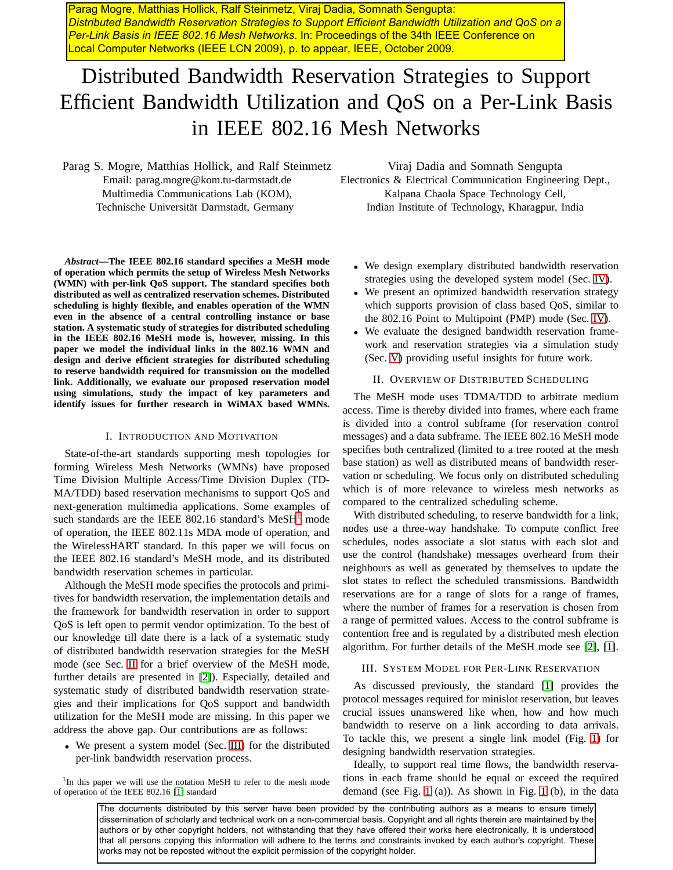Parag Mogre, Matthias Hollick, Ralf Steinmetz, Viraj Dadia, Somnath Sengupta: *Distributed Bandwidth Reservation Strategies to Support Efficient Bandwidth Utilization and QoS on a Per-Link Basis in IEEE 802.16 Mesh Networks*. In: Proceedings of the 34th IEEE Conference on Local Computer Networks (IEEE LCN 2009), p. to appear, IEEE, October 2009.

# Distributed Bandwidth Reservation Strategies to Support Efficient Bandwidth Utilization and QoS on a Per-Link Basis in IEEE 802.16 Mesh Networks

Parag S. Mogre, Matthias Hollick, and Ralf Steinmetz Email: parag.mogre@kom.tu-darmstadt.de Multimedia Communications Lab (KOM), Technische Universität Darmstadt, Germany

*Abstract***—The IEEE 802.16 standard specifies a MeSH mode of operation which permits the setup of Wireless Mesh Networks (WMN) with per-link QoS support. The standard specifies both distributed as well as centralized reservation schemes. Distributed scheduling is highly flexible, and enables operation of the WMN even in the absence of a central controlling instance or base station. A systematic study of strategies for distributed scheduling in the IEEE 802.16 MeSH mode is, however, missing. In this paper we model the individual links in the 802.16 WMN and design and derive efficient strategies for distributed scheduling to reserve bandwidth required for transmission on the modelled link. Additionally, we evaluate our proposed reservation model using simulations, study the impact of key parameters and identify issues for further research in WiMAX based WMNs.**

## I. INTRODUCTION AND MOTIVATION

State-of-the-art standards supporting mesh topologies for forming Wireless Mesh Networks (WMNs) have proposed Time Division Multiple Access/Time Division Duplex (TD-MA/TDD) based reservation mechanisms to support QoS and next-generation multimedia applications. Some examples of such standards are the IEEE 802.[1](#page-0-0)6 standard's  $MeSH<sup>1</sup>$  mode of operation, the IEEE 802.11s MDA mode of operation, and the WirelessHART standard. In this paper we will focus on the IEEE 802.16 standard's MeSH mode, and its distributed bandwidth reservation schemes in particular.

Although the MeSH mode specifies the protocols and primitives for bandwidth reservation, the implementation details and the framework for bandwidth reservation in order to support QoS is left open to permit vendor optimization. To the best of our knowledge till date there is a lack of a systematic study of distributed bandwidth reservation strategies for the MeSH mode (see Sec. [II](#page-0-1) for a brief overview of the MeSH mode, further details are presented in [\[2\]](#page-3-0)). Especially, detailed and systematic study of distributed bandwidth reservation strategies and their implications for QoS support and bandwidth utilization for the MeSH mode are missing. In this paper we address the above gap. Our contributions are as follows:

• We present a system model (Sec. [III\)](#page-0-2) for the distributed per-link bandwidth reservation process.

<span id="page-0-0"></span><sup>1</sup>In this paper we will use the notation MeSH to refer to the mesh mode of operation of the IEEE 802.16 [\[1\]](#page-3-1) standard

Viraj Dadia and Somnath Sengupta Electronics & Electrical Communication Engineering Dept., Kalpana Chaola Space Technology Cell, Indian Institute of Technology, Kharagpur, India

- We design exemplary distributed bandwidth reservation strategies using the developed system model (Sec. [IV\)](#page-1-0).
- We present an optimized bandwidth reservation strategy which supports provision of class based QoS, similar to the 802.16 Point to Multipoint (PMP) mode (Sec. [IV\)](#page-1-0).
- We evaluate the designed bandwidth reservation framework and reservation strategies via a simulation study (Sec. [V\)](#page-2-0) providing useful insights for future work.

## II. OVERVIEW OF DISTRIBUTED SCHEDULING

<span id="page-0-1"></span>The MeSH mode uses TDMA/TDD to arbitrate medium access. Time is thereby divided into frames, where each frame is divided into a control subframe (for reservation control messages) and a data subframe. The IEEE 802.16 MeSH mode specifies both centralized (limited to a tree rooted at the mesh base station) as well as distributed means of bandwidth reservation or scheduling. We focus only on distributed scheduling which is of more relevance to wireless mesh networks as compared to the centralized scheduling scheme.

With distributed scheduling, to reserve bandwidth for a link, nodes use a three-way handshake. To compute conflict free schedules, nodes associate a slot status with each slot and use the control (handshake) messages overheard from their neighbours as well as generated by themselves to update the slot states to reflect the scheduled transmissions. Bandwidth reservations are for a range of slots for a range of frames, where the number of frames for a reservation is chosen from a range of permitted values. Access to the control subframe is contention free and is regulated by a distributed mesh election algorithm. For further details of the MeSH mode see [\[2\]](#page-3-0), [\[1\]](#page-3-1).

## <span id="page-0-2"></span>III. SYSTEM MODEL FOR PER-LINK RESERVATION

As discussed previously, the standard [\[1\]](#page-3-1) provides the protocol messages required for minislot reservation, but leaves crucial issues unanswered like when, how and how much bandwidth to reserve on a link according to data arrivals. To tackle this, we present a single link model (Fig. [1\)](#page-1-1) for designing bandwidth reservation strategies.

Ideally, to support real time flows, the bandwidth reservations in each frame should be equal or exceed the required demand (see Fig. [1](#page-1-1) (a)). As shown in Fig. [1](#page-1-1) (b), in the data

The documents distributed by this server have been provided by the contributing authors as a means to ensure timely dissemination of scholarly and technical work on a non-commercial basis. Copyright and all rights therein are maintained by the authors or by other copyright holders, not withstanding that they have offered their works here electronically. It is understood that all persons copying this information will adhere to the terms and constraints invoked by each author's copyright. These works may not be reposted without the explicit permission of the copyright holder.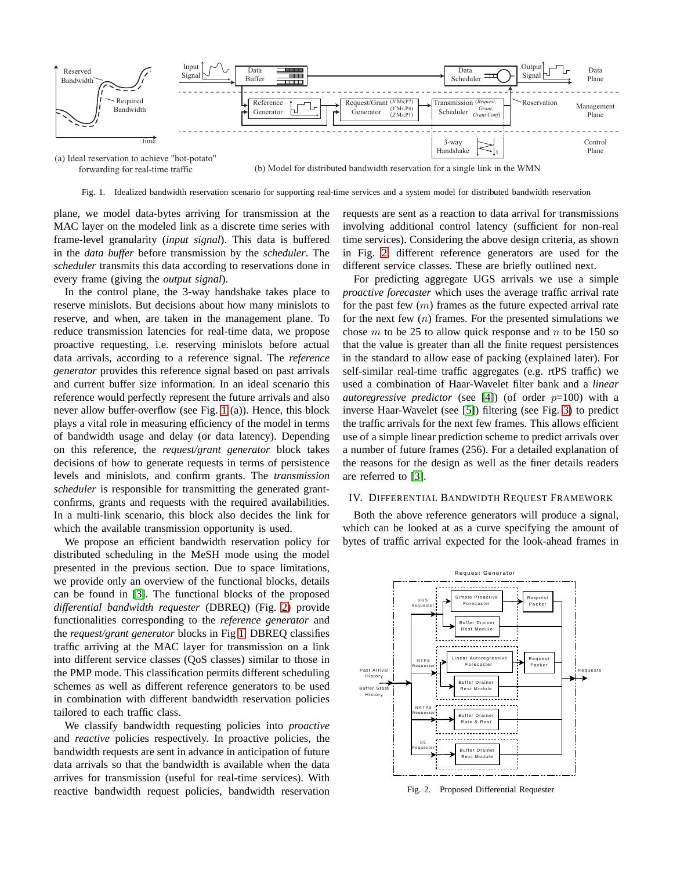

forwarding for real-time traffic (b) Model for distributed bandwidth reservation for a single link in the WMN

<span id="page-1-1"></span>Fig. 1. Idealized bandwidth reservation scenario for supporting real-time services and a system model for distributed bandwidth reservation

plane, we model data-bytes arriving for transmission at the MAC layer on the modeled link as a discrete time series with frame-level granularity (*input signal*). This data is buffered in the *data buffer* before transmission by the *scheduler*. The *scheduler* transmits this data according to reservations done in every frame (giving the *output signal*).

In the control plane, the 3-way handshake takes place to reserve minislots. But decisions about how many minislots to reserve, and when, are taken in the management plane. To reduce transmission latencies for real-time data, we propose proactive requesting, i.e. reserving minislots before actual data arrivals, according to a reference signal. The *reference generator* provides this reference signal based on past arrivals and current buffer size information. In an ideal scenario this reference would perfectly represent the future arrivals and also never allow buffer-overflow (see Fig. [1](#page-1-1) (a)). Hence, this block plays a vital role in measuring efficiency of the model in terms of bandwidth usage and delay (or data latency). Depending on this reference, the *request/grant generator* block takes decisions of how to generate requests in terms of persistence levels and minislots, and confirm grants. The *transmission scheduler* is responsible for transmitting the generated grantconfirms, grants and requests with the required availabilities. In a multi-link scenario, this block also decides the link for which the available transmission opportunity is used.

We propose an efficient bandwidth reservation policy for distributed scheduling in the MeSH mode using the model presented in the previous section. Due to space limitations, we provide only an overview of the functional blocks, details can be found in [\[3\]](#page-3-2). The functional blocks of the proposed *differential bandwidth requester* (DBREQ) (Fig. [2\)](#page-1-2) provide functionalities corresponding to the *reference generator* and the *request/grant generator* blocks in Fig [1.](#page-1-1) DBREQ classifies traffic arriving at the MAC layer for transmission on a link into different service classes (QoS classes) similar to those in the PMP mode. This classification permits different scheduling schemes as well as different reference generators to be used in combination with different bandwidth reservation policies tailored to each traffic class.

We classify bandwidth requesting policies into *proactive* and *reactive* policies respectively. In proactive policies, the bandwidth requests are sent in advance in anticipation of future data arrivals so that the bandwidth is available when the data arrives for transmission (useful for real-time services). With reactive bandwidth request policies, bandwidth reservation requests are sent as a reaction to data arrival for transmissions involving additional control latency (sufficient for non-real time services). Considering the above design criteria, as shown in Fig. [2,](#page-1-2) different reference generators are used for the different service classes. These are briefly outlined next.

For predicting aggregate UGS arrivals we use a simple *proactive forecaster* which uses the average traffic arrival rate for the past few  $(m)$  frames as the future expected arrival rate for the next few  $(n)$  frames. For the presented simulations we chose  $m$  to be 25 to allow quick response and  $n$  to be 150 so that the value is greater than all the finite request persistences in the standard to allow ease of packing (explained later). For self-similar real-time traffic aggregates (e.g. rtPS traffic) we used a combination of Haar-Wavelet filter bank and a *linear autoregressive predictor* (see [\[4\]](#page-3-3)) (of order  $p=100$ ) with a inverse Haar-Wavelet (see [\[5\]](#page-3-4)) filtering (see Fig. [3\)](#page-2-1) to predict the traffic arrivals for the next few frames. This allows efficient use of a simple linear prediction scheme to predict arrivals over a number of future frames (256). For a detailed explanation of the reasons for the design as well as the finer details readers are referred to [\[3\]](#page-3-2).

#### <span id="page-1-0"></span>IV. DIFFERENTIAL BANDWIDTH REQUEST FRAMEWORK

Both the above reference generators will produce a signal, which can be looked at as a curve specifying the amount of bytes of traffic arrival expected for the look-ahead frames in



<span id="page-1-2"></span>Fig. 2. Proposed Differential Requester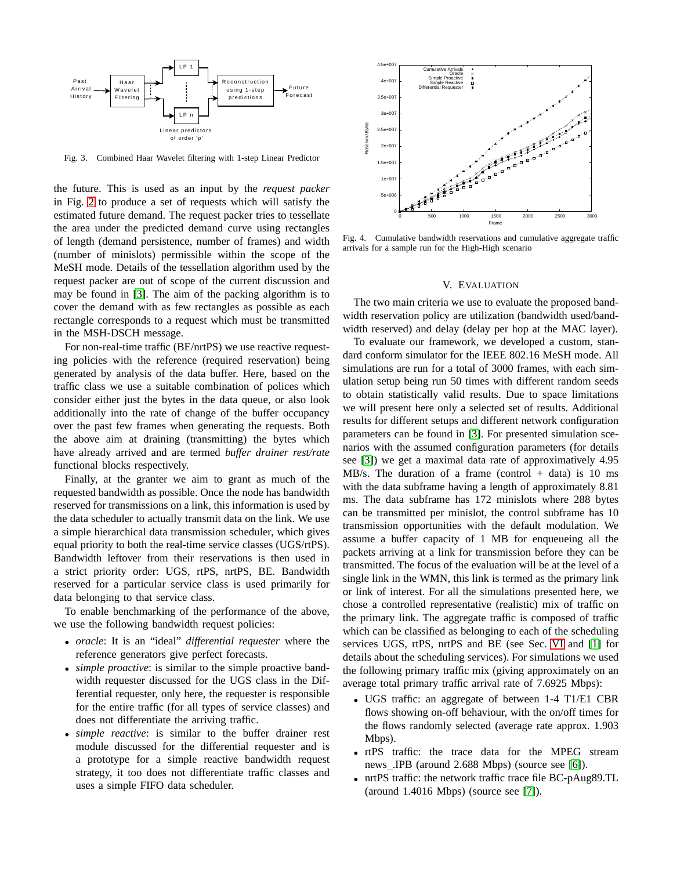

<span id="page-2-1"></span>Fig. 3. Combined Haar Wavelet filtering with 1-step Linear Predictor

the future. This is used as an input by the *request packer* in Fig. [2](#page-1-2) to produce a set of requests which will satisfy the estimated future demand. The request packer tries to tessellate the area under the predicted demand curve using rectangles of length (demand persistence, number of frames) and width (number of minislots) permissible within the scope of the MeSH mode. Details of the tessellation algorithm used by the request packer are out of scope of the current discussion and may be found in [\[3\]](#page-3-2). The aim of the packing algorithm is to cover the demand with as few rectangles as possible as each rectangle corresponds to a request which must be transmitted in the MSH-DSCH message.

For non-real-time traffic (BE/nrtPS) we use reactive requesting policies with the reference (required reservation) being generated by analysis of the data buffer. Here, based on the traffic class we use a suitable combination of polices which consider either just the bytes in the data queue, or also look additionally into the rate of change of the buffer occupancy over the past few frames when generating the requests. Both the above aim at draining (transmitting) the bytes which have already arrived and are termed *buffer drainer rest/rate* functional blocks respectively.

Finally, at the granter we aim to grant as much of the requested bandwidth as possible. Once the node has bandwidth reserved for transmissions on a link, this information is used by the data scheduler to actually transmit data on the link. We use a simple hierarchical data transmission scheduler, which gives equal priority to both the real-time service classes (UGS/rtPS). Bandwidth leftover from their reservations is then used in a strict priority order: UGS, rtPS, nrtPS, BE. Bandwidth reserved for a particular service class is used primarily for data belonging to that service class.

To enable benchmarking of the performance of the above, we use the following bandwidth request policies:

- *oracle*: It is an "ideal" *differential requester* where the reference generators give perfect forecasts.
- *simple proactive*: is similar to the simple proactive bandwidth requester discussed for the UGS class in the Differential requester, only here, the requester is responsible for the entire traffic (for all types of service classes) and does not differentiate the arriving traffic.
- *simple reactive*: is similar to the buffer drainer rest module discussed for the differential requester and is a prototype for a simple reactive bandwidth request strategy, it too does not differentiate traffic classes and uses a simple FIFO data scheduler.



<span id="page-2-2"></span><span id="page-2-0"></span>Fig. 4. Cumulative bandwidth reservations and cumulative aggregate traffic arrivals for a sample run for the High-High scenario

### V. EVALUATION

The two main criteria we use to evaluate the proposed bandwidth reservation policy are utilization (bandwidth used/bandwidth reserved) and delay (delay per hop at the MAC layer).

To evaluate our framework, we developed a custom, standard conform simulator for the IEEE 802.16 MeSH mode. All simulations are run for a total of 3000 frames, with each simulation setup being run 50 times with different random seeds to obtain statistically valid results. Due to space limitations we will present here only a selected set of results. Additional results for different setups and different network configuration parameters can be found in [\[3\]](#page-3-2). For presented simulation scenarios with the assumed configuration parameters (for details see [\[3\]](#page-3-2)) we get a maximal data rate of approximatively 4.95 MB/s. The duration of a frame (control  $+$  data) is 10 ms with the data subframe having a length of approximately 8.81 ms. The data subframe has 172 minislots where 288 bytes can be transmitted per minislot, the control subframe has 10 transmission opportunities with the default modulation. We assume a buffer capacity of 1 MB for enqueueing all the packets arriving at a link for transmission before they can be transmitted. The focus of the evaluation will be at the level of a single link in the WMN, this link is termed as the primary link or link of interest. For all the simulations presented here, we chose a controlled representative (realistic) mix of traffic on the primary link. The aggregate traffic is composed of traffic which can be classified as belonging to each of the scheduling services UGS, rtPS, nrtPS and BE (see Sec. [VI](#page-3-5) and [\[1\]](#page-3-1) for details about the scheduling services). For simulations we used the following primary traffic mix (giving approximately on an average total primary traffic arrival rate of 7.6925 Mbps):

- UGS traffic: an aggregate of between 1-4 T1/E1 CBR flows showing on-off behaviour, with the on/off times for the flows randomly selected (average rate approx. 1.903 Mbps).
- rtPS traffic: the trace data for the MPEG stream news .IPB (around 2.688 Mbps) (source see [\[6\]](#page-3-6)).
- nrtPS traffic: the network traffic trace file BC-pAug89.TL (around 1.4016 Mbps) (source see [\[7\]](#page-3-7)).